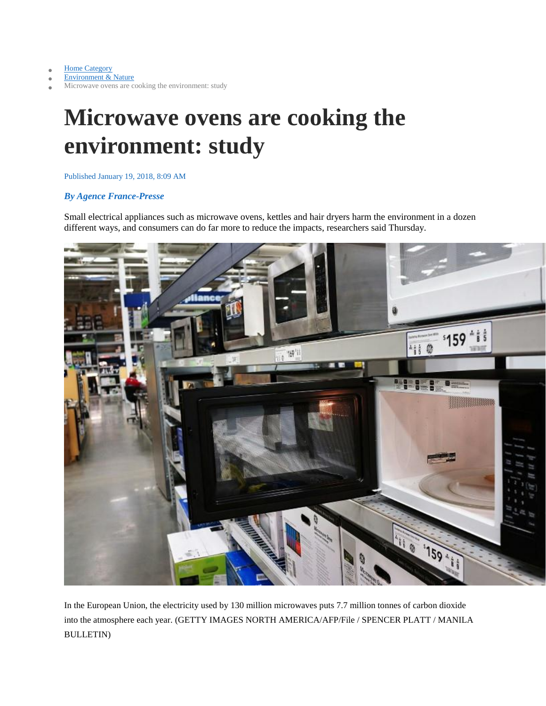[Home Category](https://news.mb.com.ph/)

[Environment & Nature](https://news.mb.com.ph/category/environment-nature/)

Microwave ovens are cooking the environment: study

## **Microwave ovens are cooking the environment: study**

## Published January 19, 2018, 8:09 AM

## *By Agence France-Presse*

Small electrical appliances such as microwave ovens, kettles and hair dryers harm the environment in a dozen different ways, and consumers can do far more to reduce the impacts, researchers said Thursday.



In the European Union, the electricity used by 130 million microwaves puts 7.7 million tonnes of carbon dioxide into the atmosphere each year. (GETTY IMAGES NORTH AMERICA/AFP/File / SPENCER PLATT / MANILA BULLETIN)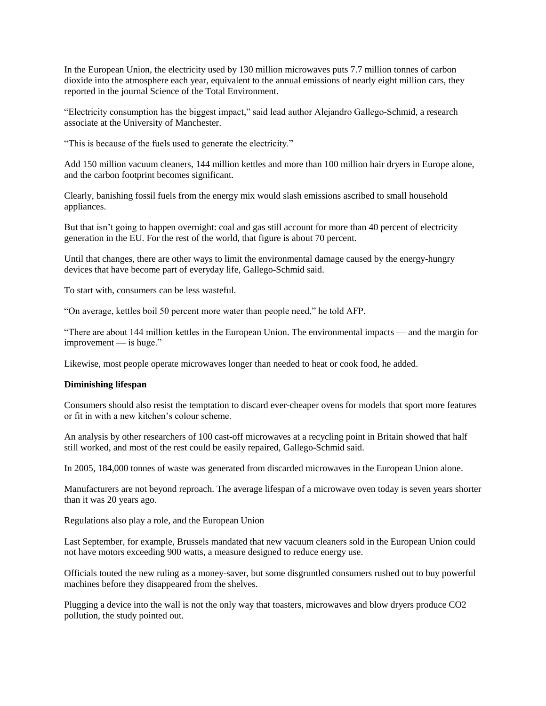In the European Union, the electricity used by 130 million microwaves puts 7.7 million tonnes of carbon dioxide into the atmosphere each year, equivalent to the annual emissions of nearly eight million cars, they reported in the journal Science of the Total Environment.

"Electricity consumption has the biggest impact," said lead author Alejandro Gallego-Schmid, a research associate at the University of Manchester.

"This is because of the fuels used to generate the electricity."

Add 150 million vacuum cleaners, 144 million kettles and more than 100 million hair dryers in Europe alone, and the carbon footprint becomes significant.

Clearly, banishing fossil fuels from the energy mix would slash emissions ascribed to small household appliances.

But that isn't going to happen overnight: coal and gas still account for more than 40 percent of electricity generation in the EU. For the rest of the world, that figure is about 70 percent.

Until that changes, there are other ways to limit the environmental damage caused by the energy-hungry devices that have become part of everyday life, Gallego-Schmid said.

To start with, consumers can be less wasteful.

"On average, kettles boil 50 percent more water than people need," he told AFP.

"There are about 144 million kettles in the European Union. The environmental impacts — and the margin for improvement — is huge."

Likewise, most people operate microwaves longer than needed to heat or cook food, he added.

## **Diminishing lifespan**

Consumers should also resist the temptation to discard ever-cheaper ovens for models that sport more features or fit in with a new kitchen's colour scheme.

An analysis by other researchers of 100 cast-off microwaves at a recycling point in Britain showed that half still worked, and most of the rest could be easily repaired, Gallego-Schmid said.

In 2005, 184,000 tonnes of waste was generated from discarded microwaves in the European Union alone.

Manufacturers are not beyond reproach. The average lifespan of a microwave oven today is seven years shorter than it was 20 years ago.

Regulations also play a role, and the European Union

Last September, for example, Brussels mandated that new vacuum cleaners sold in the European Union could not have motors exceeding 900 watts, a measure designed to reduce energy use.

Officials touted the new ruling as a money-saver, but some disgruntled consumers rushed out to buy powerful machines before they disappeared from the shelves.

Plugging a device into the wall is not the only way that toasters, microwaves and blow dryers produce CO2 pollution, the study pointed out.